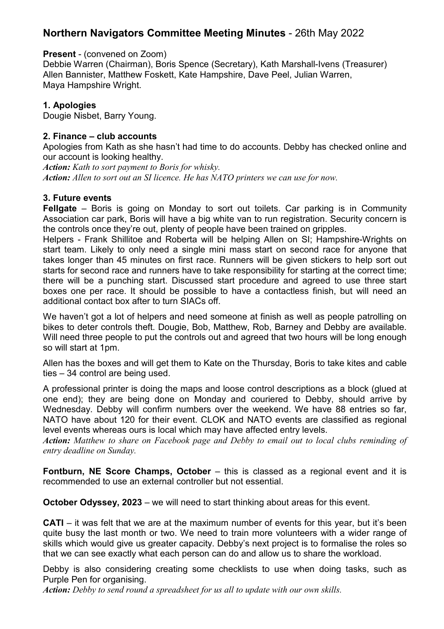# **Northern Navigators Committee Meeting Minutes** - 26th May 2022

## **Present** - (convened on Zoom)

Debbie Warren (Chairman), Boris Spence (Secretary), Kath Marshall-Ivens (Treasurer) Allen Bannister, Matthew Foskett, Kate Hampshire, Dave Peel, Julian Warren, Maya Hampshire Wright.

## **1. Apologies**

Dougie Nisbet, Barry Young.

## **2. Finance – club accounts**

Apologies from Kath as she hasn't had time to do accounts. Debby has checked online and our account is looking healthy.

*Action: Kath to sort payment to Boris for whisky. Action: Allen to sort out an SI licence. He has NATO printers we can use for now.* 

## **3. Future events**

**Fellgate** – Boris is going on Monday to sort out toilets. Car parking is in Community Association car park, Boris will have a big white van to run registration. Security concern is the controls once they're out, plenty of people have been trained on gripples.

Helpers - Frank Shillitoe and Roberta will be helping Allen on SI; Hampshire-Wrights on start team. Likely to only need a single mini mass start on second race for anyone that takes longer than 45 minutes on first race. Runners will be given stickers to help sort out starts for second race and runners have to take responsibility for starting at the correct time; there will be a punching start. Discussed start procedure and agreed to use three start boxes one per race. It should be possible to have a contactless finish, but will need an additional contact box after to turn SIACs off.

We haven't got a lot of helpers and need someone at finish as well as people patrolling on bikes to deter controls theft. Dougie, Bob, Matthew, Rob, Barney and Debby are available. Will need three people to put the controls out and agreed that two hours will be long enough so will start at 1pm.

Allen has the boxes and will get them to Kate on the Thursday, Boris to take kites and cable ties – 34 control are being used.

A professional printer is doing the maps and loose control descriptions as a block (glued at one end); they are being done on Monday and couriered to Debby, should arrive by Wednesday. Debby will confirm numbers over the weekend. We have 88 entries so far, NATO have about 120 for their event. CLOK and NATO events are classified as regional level events whereas ours is local which may have affected entry levels.

*Action: Matthew to share on Facebook page and Debby to email out to local clubs reminding of entry deadline on Sunday.* 

**Fontburn, NE Score Champs, October** – this is classed as a regional event and it is recommended to use an external controller but not essential.

**October Odyssey, 2023** – we will need to start thinking about areas for this event.

**CATI** – it was felt that we are at the maximum number of events for this year, but it's been quite busy the last month or two. We need to train more volunteers with a wider range of skills which would give us greater capacity. Debby's next project is to formalise the roles so that we can see exactly what each person can do and allow us to share the workload.

Debby is also considering creating some checklists to use when doing tasks, such as Purple Pen for organising.

*Action: Debby to send round a spreadsheet for us all to update with our own skills.*